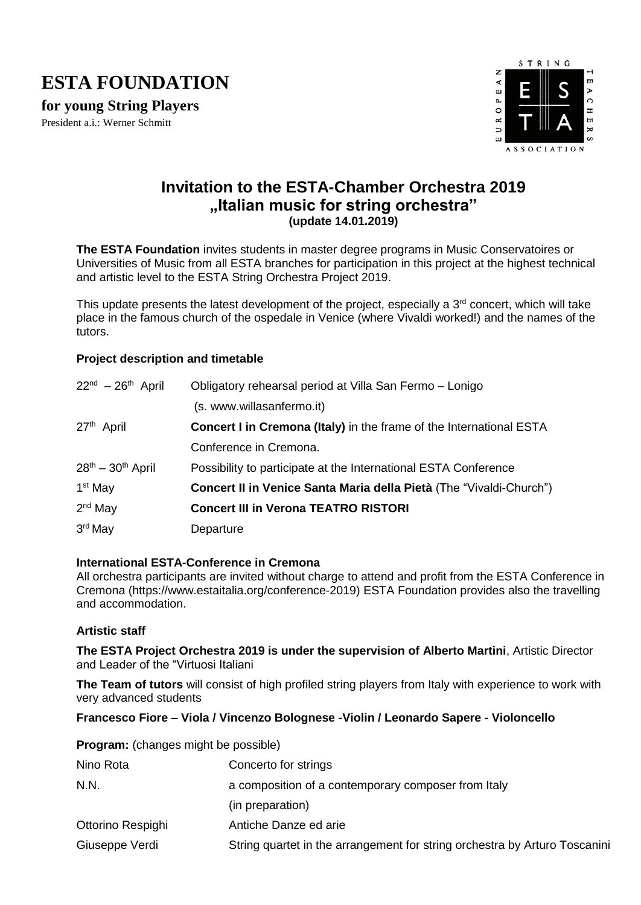## **ESTA FOUNDATION**

**for young String Players**

President a.i.: Werner Schmitt



### **Invitation to the ESTA-Chamber Orchestra 2019 "Italian music for string orchestra" (update 14.01.2019)**

**The ESTA Foundation** invites students in master degree programs in Music Conservatoires or Universities of Music from all ESTA branches for participation in this project at the highest technical and artistic level to the ESTA String Orchestra Project 2019.

This update presents the latest development of the project, especially a 3<sup>rd</sup> concert, which will take place in the famous church of the ospedale in Venice (where Vivaldi worked!) and the names of the tutors.

#### **Project description and timetable**

| $22nd - 26th$ April    | Obligatory rehearsal period at Villa San Fermo - Lonigo                    |
|------------------------|----------------------------------------------------------------------------|
|                        | (s. www.willasanfermo.it)                                                  |
| 27 <sup>th</sup> April | <b>Concert I in Cremona (Italy)</b> in the frame of the International ESTA |
|                        | Conference in Cremona.                                                     |
| $28th - 30th$ April    | Possibility to participate at the International ESTA Conference            |
| 1 <sup>st</sup> May    | <b>Concert II in Venice Santa Maria della Pietà (The "Vivaldi-Church")</b> |
| $2nd$ May              | <b>Concert III in Verona TEATRO RISTORI</b>                                |
| 3rd May                | Departure                                                                  |

#### **International ESTA-Conference in Cremona**

**Program:** (changes might be possible)

All orchestra participants are invited without charge to attend and profit from the ESTA Conference in Cremona (https://www.estaitalia.org/conference-2019) ESTA Foundation provides also the travelling and accommodation.

#### **Artistic staff**

**The ESTA Project Orchestra 2019 is under the supervision of Alberto Martini**, Artistic Director and Leader of the "Virtuosi Italiani

**The Team of tutors** will consist of high profiled string players from Italy with experience to work with very advanced students

#### **Francesco Fiore – Viola / Vincenzo Bolognese -Violin / Leonardo Sapere - Violoncello**

| Nino Rota         | Concerto for strings                                                       |
|-------------------|----------------------------------------------------------------------------|
| N.N.              | a composition of a contemporary composer from Italy                        |
|                   | (in preparation)                                                           |
| Ottorino Respighi | Antiche Danze ed arie                                                      |
| Giuseppe Verdi    | String quartet in the arrangement for string orchestra by Arturo Toscanini |